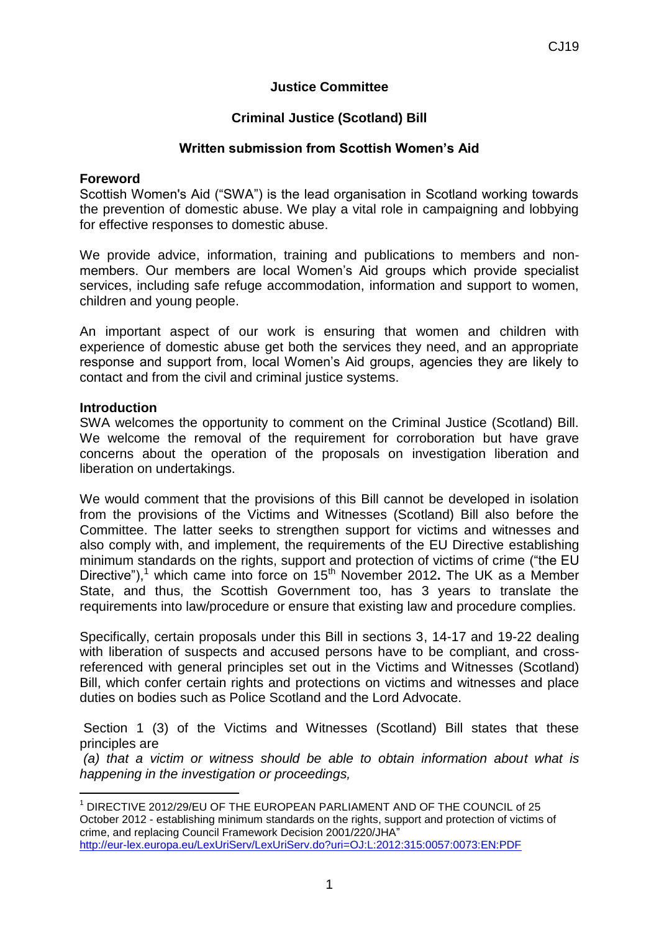# **Justice Committee**

# **Criminal Justice (Scotland) Bill**

## **Written submission from Scottish Women's Aid**

#### **Foreword**

Scottish Women's Aid ("SWA") is the lead organisation in Scotland working towards the prevention of domestic abuse. We play a vital role in campaigning and lobbying for effective responses to domestic abuse.

We provide advice, information, training and publications to members and nonmembers. Our members are local Women's Aid groups which provide specialist services, including safe refuge accommodation, information and support to women, children and young people.

An important aspect of our work is ensuring that women and children with experience of domestic abuse get both the services they need, and an appropriate response and support from, local Women's Aid groups, agencies they are likely to contact and from the civil and criminal justice systems.

#### **Introduction**

-

SWA welcomes the opportunity to comment on the Criminal Justice (Scotland) Bill. We welcome the removal of the requirement for corroboration but have grave concerns about the operation of the proposals on investigation liberation and liberation on undertakings.

We would comment that the provisions of this Bill cannot be developed in isolation from the provisions of the Victims and Witnesses (Scotland) Bill also before the Committee. The latter seeks to strengthen support for victims and witnesses and also comply with, and implement, the requirements of the EU Directive establishing minimum standards on the rights, support and protection of victims of crime ("the EU Directive"),<sup>1</sup> which came into force on 15<sup>th</sup> November 2012. The UK as a Member State, and thus, the Scottish Government too, has 3 years to translate the requirements into law/procedure or ensure that existing law and procedure complies.

Specifically, certain proposals under this Bill in sections 3, 14-17 and 19-22 dealing with liberation of suspects and accused persons have to be compliant, and crossreferenced with general principles set out in the Victims and Witnesses (Scotland) Bill, which confer certain rights and protections on victims and witnesses and place duties on bodies such as Police Scotland and the Lord Advocate.

Section 1 (3) of the Victims and Witnesses (Scotland) Bill states that these principles are

*(a) that a victim or witness should be able to obtain information about what is happening in the investigation or proceedings,* 

<sup>1</sup> DIRECTIVE 2012/29/EU OF THE EUROPEAN PARLIAMENT AND OF THE COUNCIL of 25 October 2012 - establishing minimum standards on the rights, support and protection of victims of crime, and replacing Council Framework Decision 2001/220/JHA" <http://eur-lex.europa.eu/LexUriServ/LexUriServ.do?uri=OJ:L:2012:315:0057:0073:EN:PDF>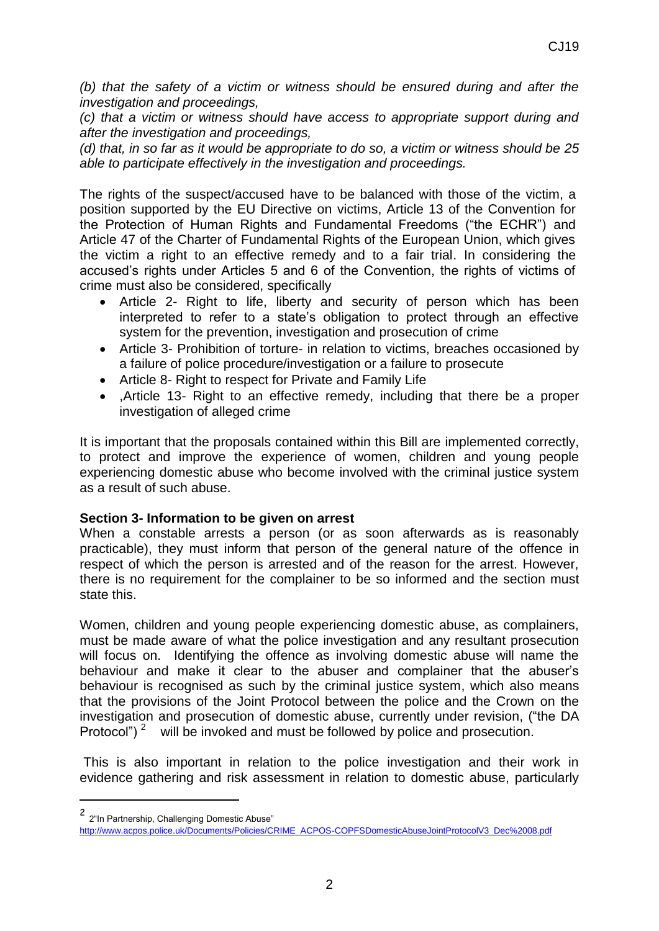*(b) that the safety of a victim or witness should be ensured during and after the investigation and proceedings,* 

*(c) that a victim or witness should have access to appropriate support during and after the investigation and proceedings,* 

*(d) that, in so far as it would be appropriate to do so, a victim or witness should be 25 able to participate effectively in the investigation and proceedings.*

The rights of the suspect/accused have to be balanced with those of the victim, a position supported by the EU Directive on victims, Article 13 of the Convention for the Protection of Human Rights and Fundamental Freedoms ("the ECHR") and Article 47 of the Charter of Fundamental Rights of the European Union, which gives the victim a right to an effective remedy and to a fair trial. In considering the accused's rights under Articles 5 and 6 of the Convention, the rights of victims of crime must also be considered, specifically

- Article 2- Right to life, liberty and security of person which has been interpreted to refer to a state's obligation to protect through an effective system for the prevention, investigation and prosecution of crime
- Article 3- Prohibition of torture- in relation to victims, breaches occasioned by a failure of police procedure/investigation or a failure to prosecute
- Article 8- Right to respect for Private and Family Life
- .Article 13- Right to an effective remedy, including that there be a proper investigation of alleged crime

It is important that the proposals contained within this Bill are implemented correctly, to protect and improve the experience of women, children and young people experiencing domestic abuse who become involved with the criminal justice system as a result of such abuse.

## **Section 3- Information to be given on arrest**

When a constable arrests a person (or as soon afterwards as is reasonably practicable), they must inform that person of the general nature of the offence in respect of which the person is arrested and of the reason for the arrest. However, there is no requirement for the complainer to be so informed and the section must state this.

Women, children and young people experiencing domestic abuse, as complainers, must be made aware of what the police investigation and any resultant prosecution will focus on. Identifying the offence as involving domestic abuse will name the behaviour and make it clear to the abuser and complainer that the abuser's behaviour is recognised as such by the criminal justice system, which also means that the provisions of the Joint Protocol between the police and the Crown on the investigation and prosecution of domestic abuse, currently under revision, ("the DA Protocol")  $2$  will be invoked and must be followed by police and prosecution.

This is also important in relation to the police investigation and their work in evidence gathering and risk assessment in relation to domestic abuse, particularly

-

<sup>2</sup> 2"In Partnership, Challenging Domestic Abuse"

[http://www.acpos.police.uk/Documents/Policies/CRIME\\_ACPOS-COPFSDomesticAbuseJointProtocolV3\\_Dec%2008.pdf](http://www.acpos.police.uk/Documents/Policies/CRIME_ACPOS-COPFSDomesticAbuseJointProtocolV3_Dec%2008.pdf)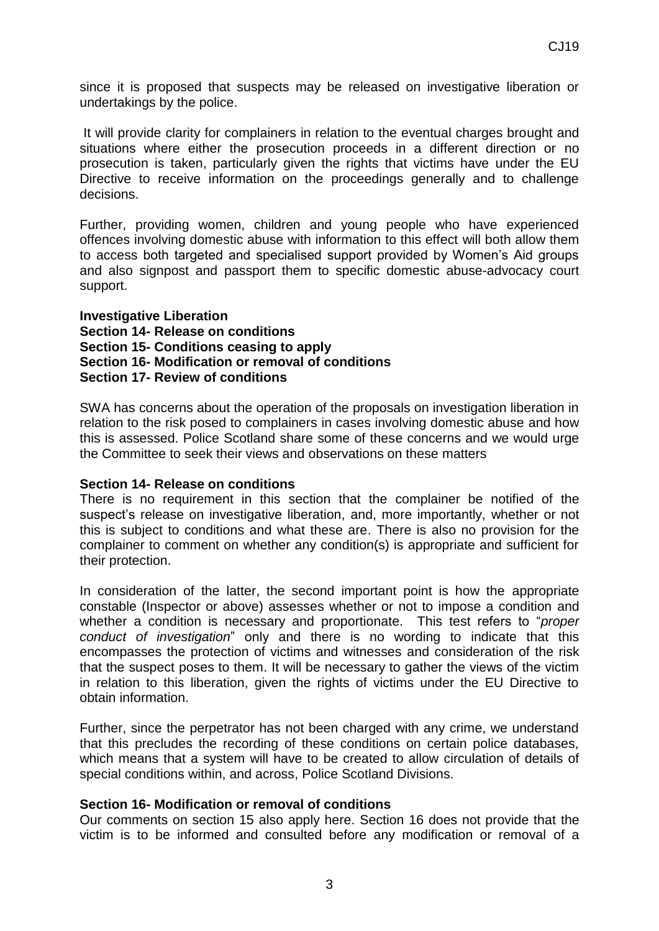since it is proposed that suspects may be released on investigative liberation or undertakings by the police.

It will provide clarity for complainers in relation to the eventual charges brought and situations where either the prosecution proceeds in a different direction or no prosecution is taken, particularly given the rights that victims have under the EU Directive to receive information on the proceedings generally and to challenge decisions.

Further, providing women, children and young people who have experienced offences involving domestic abuse with information to this effect will both allow them to access both targeted and specialised support provided by Women's Aid groups and also signpost and passport them to specific domestic abuse-advocacy court support.

**Investigative Liberation Section 14- Release on conditions Section 15- Conditions ceasing to apply Section 16- Modification or removal of conditions Section 17- Review of conditions** 

SWA has concerns about the operation of the proposals on investigation liberation in relation to the risk posed to complainers in cases involving domestic abuse and how this is assessed. Police Scotland share some of these concerns and we would urge the Committee to seek their views and observations on these matters

## **Section 14- Release on conditions**

There is no requirement in this section that the complainer be notified of the suspect's release on investigative liberation, and, more importantly, whether or not this is subject to conditions and what these are. There is also no provision for the complainer to comment on whether any condition(s) is appropriate and sufficient for their protection.

In consideration of the latter, the second important point is how the appropriate constable (Inspector or above) assesses whether or not to impose a condition and whether a condition is necessary and proportionate. This test refers to "*proper conduct of investigation*" only and there is no wording to indicate that this encompasses the protection of victims and witnesses and consideration of the risk that the suspect poses to them. It will be necessary to gather the views of the victim in relation to this liberation, given the rights of victims under the EU Directive to obtain information.

Further, since the perpetrator has not been charged with any crime, we understand that this precludes the recording of these conditions on certain police databases, which means that a system will have to be created to allow circulation of details of special conditions within, and across, Police Scotland Divisions.

## **Section 16- Modification or removal of conditions**

Our comments on section 15 also apply here. Section 16 does not provide that the victim is to be informed and consulted before any modification or removal of a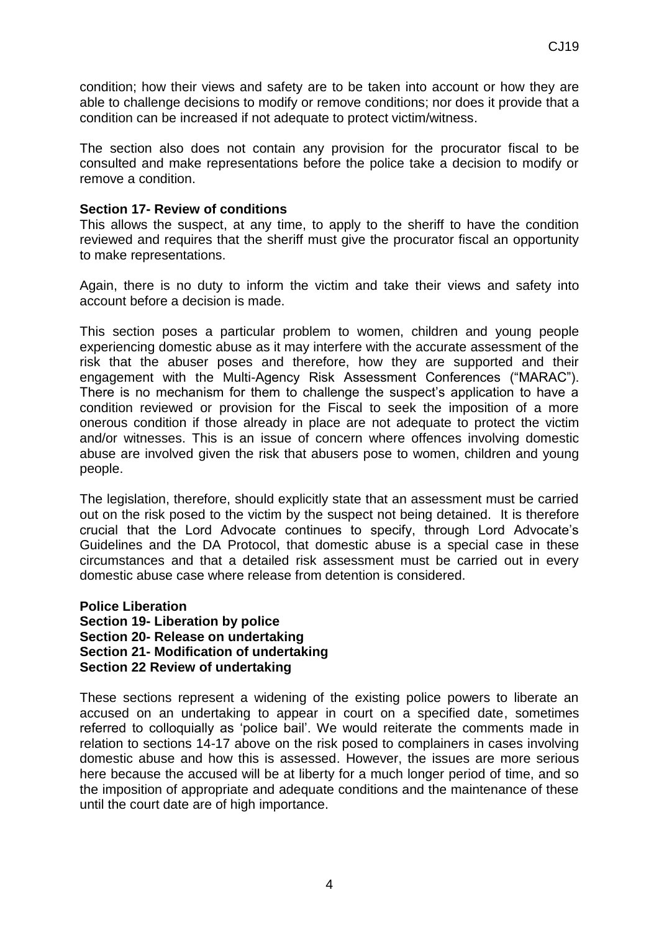condition; how their views and safety are to be taken into account or how they are able to challenge decisions to modify or remove conditions; nor does it provide that a condition can be increased if not adequate to protect victim/witness.

The section also does not contain any provision for the procurator fiscal to be consulted and make representations before the police take a decision to modify or remove a condition.

#### **Section 17- Review of conditions**

This allows the suspect, at any time, to apply to the sheriff to have the condition reviewed and requires that the sheriff must give the procurator fiscal an opportunity to make representations.

Again, there is no duty to inform the victim and take their views and safety into account before a decision is made.

This section poses a particular problem to women, children and young people experiencing domestic abuse as it may interfere with the accurate assessment of the risk that the abuser poses and therefore, how they are supported and their engagement with the Multi-Agency Risk Assessment Conferences ("MARAC"). There is no mechanism for them to challenge the suspect's application to have a condition reviewed or provision for the Fiscal to seek the imposition of a more onerous condition if those already in place are not adequate to protect the victim and/or witnesses. This is an issue of concern where offences involving domestic abuse are involved given the risk that abusers pose to women, children and young people.

The legislation, therefore, should explicitly state that an assessment must be carried out on the risk posed to the victim by the suspect not being detained. It is therefore crucial that the Lord Advocate continues to specify, through Lord Advocate's Guidelines and the DA Protocol, that domestic abuse is a special case in these circumstances and that a detailed risk assessment must be carried out in every domestic abuse case where release from detention is considered.

**Police Liberation Section 19- Liberation by police Section 20- Release on undertaking Section 21- Modification of undertaking Section 22 Review of undertaking** 

These sections represent a widening of the existing police powers to liberate an accused on an undertaking to appear in court on a specified date, sometimes referred to colloquially as 'police bail'. We would reiterate the comments made in relation to sections 14-17 above on the risk posed to complainers in cases involving domestic abuse and how this is assessed. However, the issues are more serious here because the accused will be at liberty for a much longer period of time, and so the imposition of appropriate and adequate conditions and the maintenance of these until the court date are of high importance.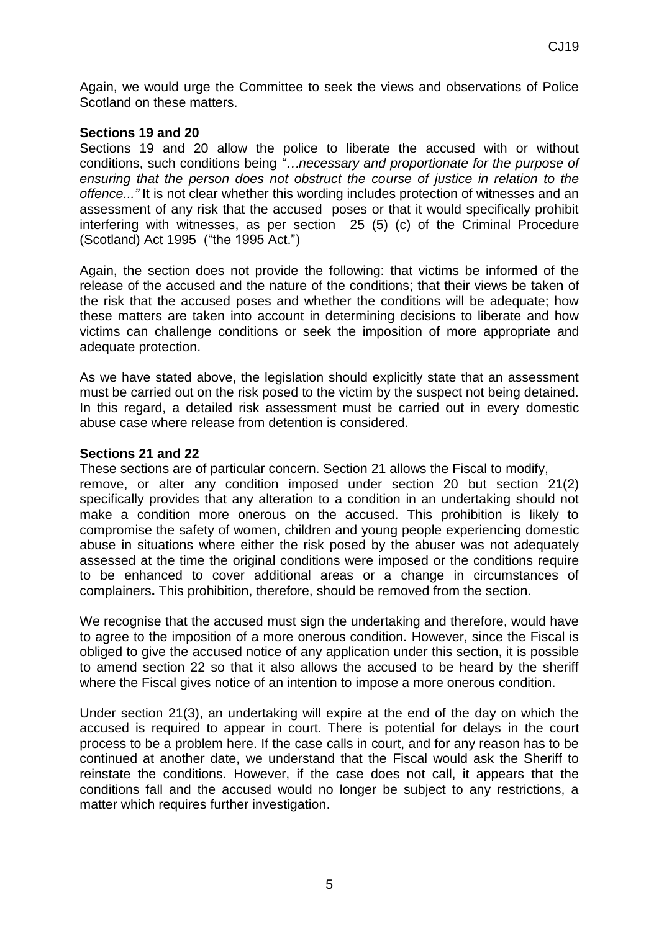Again, we would urge the Committee to seek the views and observations of Police Scotland on these matters.

## **Sections 19 and 20**

Sections 19 and 20 allow the police to liberate the accused with or without conditions, such conditions being *"…necessary and proportionate for the purpose of ensuring that the person does not obstruct the course of justice in relation to the offence..."* It is not clear whether this wording includes protection of witnesses and an assessment of any risk that the accused poses or that it would specifically prohibit interfering with witnesses, as per section 25 (5) (c) of the Criminal Procedure (Scotland) Act 1995 ("the 1995 Act.")

Again, the section does not provide the following: that victims be informed of the release of the accused and the nature of the conditions; that their views be taken of the risk that the accused poses and whether the conditions will be adequate; how these matters are taken into account in determining decisions to liberate and how victims can challenge conditions or seek the imposition of more appropriate and adequate protection.

As we have stated above, the legislation should explicitly state that an assessment must be carried out on the risk posed to the victim by the suspect not being detained. In this regard, a detailed risk assessment must be carried out in every domestic abuse case where release from detention is considered.

## **Sections 21 and 22**

These sections are of particular concern. Section 21 allows the Fiscal to modify, remove, or alter any condition imposed under section 20 but section 21(2) specifically provides that any alteration to a condition in an undertaking should not make a condition more onerous on the accused. This prohibition is likely to compromise the safety of women, children and young people experiencing domestic abuse in situations where either the risk posed by the abuser was not adequately assessed at the time the original conditions were imposed or the conditions require to be enhanced to cover additional areas or a change in circumstances of complainers**.** This prohibition, therefore, should be removed from the section.

We recognise that the accused must sign the undertaking and therefore, would have to agree to the imposition of a more onerous condition. However, since the Fiscal is obliged to give the accused notice of any application under this section, it is possible to amend section 22 so that it also allows the accused to be heard by the sheriff where the Fiscal gives notice of an intention to impose a more onerous condition.

Under section 21(3), an undertaking will expire at the end of the day on which the accused is required to appear in court. There is potential for delays in the court process to be a problem here. If the case calls in court, and for any reason has to be continued at another date, we understand that the Fiscal would ask the Sheriff to reinstate the conditions. However, if the case does not call, it appears that the conditions fall and the accused would no longer be subject to any restrictions, a matter which requires further investigation.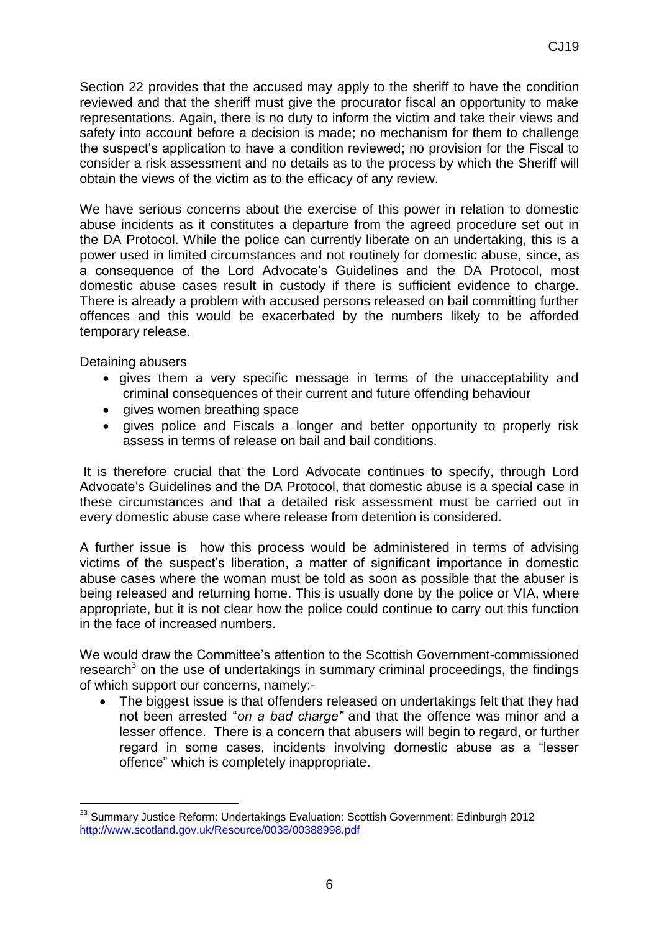We have serious concerns about the exercise of this power in relation to domestic abuse incidents as it constitutes a departure from the agreed procedure set out in the DA Protocol. While the police can currently liberate on an undertaking, this is a power used in limited circumstances and not routinely for domestic abuse, since, as a consequence of the Lord Advocate's Guidelines and the DA Protocol, most domestic abuse cases result in custody if there is sufficient evidence to charge. There is already a problem with accused persons released on bail committing further offences and this would be exacerbated by the numbers likely to be afforded temporary release.

obtain the views of the victim as to the efficacy of any review.

Detaining abusers

-

- gives them a very specific message in terms of the unacceptability and criminal consequences of their current and future offending behaviour
- gives women breathing space
- gives police and Fiscals a longer and better opportunity to properly risk assess in terms of release on bail and bail conditions.

It is therefore crucial that the Lord Advocate continues to specify, through Lord Advocate's Guidelines and the DA Protocol, that domestic abuse is a special case in these circumstances and that a detailed risk assessment must be carried out in every domestic abuse case where release from detention is considered.

A further issue is how this process would be administered in terms of advising victims of the suspect's liberation, a matter of significant importance in domestic abuse cases where the woman must be told as soon as possible that the abuser is being released and returning home. This is usually done by the police or VIA, where appropriate, but it is not clear how the police could continue to carry out this function in the face of increased numbers.

We would draw the Committee's attention to the Scottish Government-commissioned research<sup>3</sup> on the use of undertakings in summary criminal proceedings, the findings of which support our concerns, namely:-

• The biggest issue is that offenders released on undertakings felt that they had not been arrested "*on a bad charge"* and that the offence was minor and a lesser offence. There is a concern that abusers will begin to regard, or further regard in some cases, incidents involving domestic abuse as a "lesser offence" which is completely inappropriate.

<sup>&</sup>lt;sup>33</sup> Summary Justice Reform: Undertakings Evaluation: Scottish Government; Edinburgh 2012 <http://www.scotland.gov.uk/Resource/0038/00388998.pdf>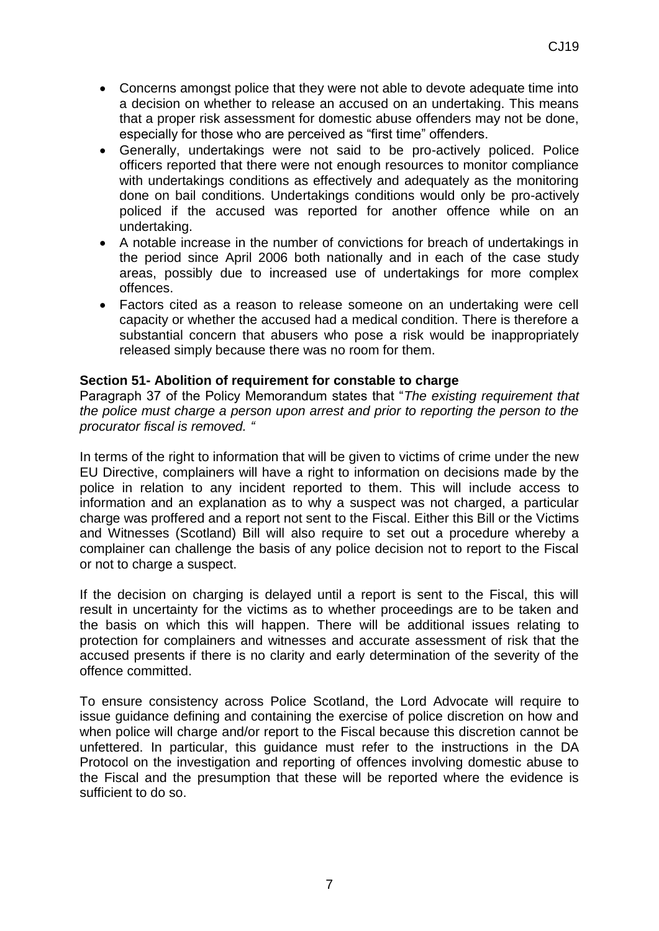- Concerns amongst police that they were not able to devote adequate time into a decision on whether to release an accused on an undertaking. This means that a proper risk assessment for domestic abuse offenders may not be done, especially for those who are perceived as "first time" offenders.
- Generally, undertakings were not said to be pro-actively policed. Police officers reported that there were not enough resources to monitor compliance with undertakings conditions as effectively and adequately as the monitoring done on bail conditions. Undertakings conditions would only be pro-actively policed if the accused was reported for another offence while on an undertaking.
- A notable increase in the number of convictions for breach of undertakings in the period since April 2006 both nationally and in each of the case study areas, possibly due to increased use of undertakings for more complex offences.
- Factors cited as a reason to release someone on an undertaking were cell capacity or whether the accused had a medical condition. There is therefore a substantial concern that abusers who pose a risk would be inappropriately released simply because there was no room for them.

# **Section 51- Abolition of requirement for constable to charge**

Paragraph 37 of the Policy Memorandum states that "*The existing requirement that the police must charge a person upon arrest and prior to reporting the person to the procurator fiscal is removed. "*

In terms of the right to information that will be given to victims of crime under the new EU Directive, complainers will have a right to information on decisions made by the police in relation to any incident reported to them. This will include access to information and an explanation as to why a suspect was not charged, a particular charge was proffered and a report not sent to the Fiscal. Either this Bill or the Victims and Witnesses (Scotland) Bill will also require to set out a procedure whereby a complainer can challenge the basis of any police decision not to report to the Fiscal or not to charge a suspect.

If the decision on charging is delayed until a report is sent to the Fiscal, this will result in uncertainty for the victims as to whether proceedings are to be taken and the basis on which this will happen. There will be additional issues relating to protection for complainers and witnesses and accurate assessment of risk that the accused presents if there is no clarity and early determination of the severity of the offence committed.

To ensure consistency across Police Scotland, the Lord Advocate will require to issue guidance defining and containing the exercise of police discretion on how and when police will charge and/or report to the Fiscal because this discretion cannot be unfettered. In particular, this guidance must refer to the instructions in the DA Protocol on the investigation and reporting of offences involving domestic abuse to the Fiscal and the presumption that these will be reported where the evidence is sufficient to do so.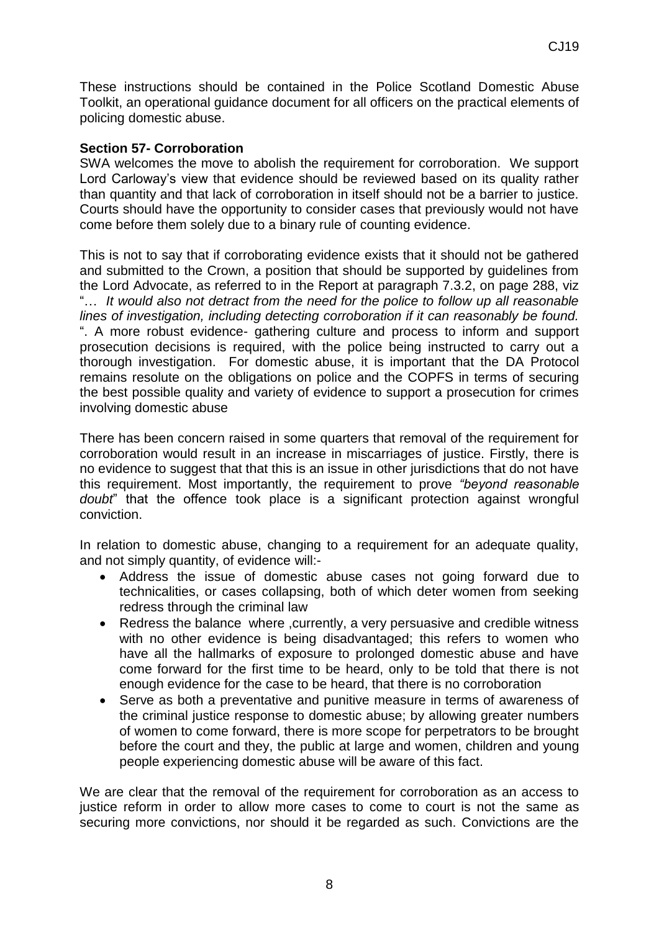These instructions should be contained in the Police Scotland Domestic Abuse Toolkit, an operational guidance document for all officers on the practical elements of policing domestic abuse.

# **Section 57- Corroboration**

SWA welcomes the move to abolish the requirement for corroboration. We support Lord Carloway's view that evidence should be reviewed based on its quality rather than quantity and that lack of corroboration in itself should not be a barrier to justice. Courts should have the opportunity to consider cases that previously would not have come before them solely due to a binary rule of counting evidence.

This is not to say that if corroborating evidence exists that it should not be gathered and submitted to the Crown, a position that should be supported by guidelines from the Lord Advocate, as referred to in the Report at paragraph 7.3.2, on page 288, viz "… *It would also not detract from the need for the police to follow up all reasonable lines of investigation, including detecting corroboration if it can reasonably be found.* ". A more robust evidence- gathering culture and process to inform and support prosecution decisions is required, with the police being instructed to carry out a thorough investigation. For domestic abuse, it is important that the DA Protocol remains resolute on the obligations on police and the COPFS in terms of securing the best possible quality and variety of evidence to support a prosecution for crimes involving domestic abuse

There has been concern raised in some quarters that removal of the requirement for corroboration would result in an increase in miscarriages of justice. Firstly, there is no evidence to suggest that that this is an issue in other jurisdictions that do not have this requirement. Most importantly, the requirement to prove *"beyond reasonable doubt*" that the offence took place is a significant protection against wrongful conviction.

In relation to domestic abuse, changing to a requirement for an adequate quality, and not simply quantity, of evidence will:-

- Address the issue of domestic abuse cases not going forward due to technicalities, or cases collapsing, both of which deter women from seeking redress through the criminal law
- Redress the balance where , currently, a very persuasive and credible witness with no other evidence is being disadvantaged; this refers to women who have all the hallmarks of exposure to prolonged domestic abuse and have come forward for the first time to be heard, only to be told that there is not enough evidence for the case to be heard, that there is no corroboration
- Serve as both a preventative and punitive measure in terms of awareness of the criminal justice response to domestic abuse; by allowing greater numbers of women to come forward, there is more scope for perpetrators to be brought before the court and they, the public at large and women, children and young people experiencing domestic abuse will be aware of this fact.

We are clear that the removal of the requirement for corroboration as an access to justice reform in order to allow more cases to come to court is not the same as securing more convictions, nor should it be regarded as such. Convictions are the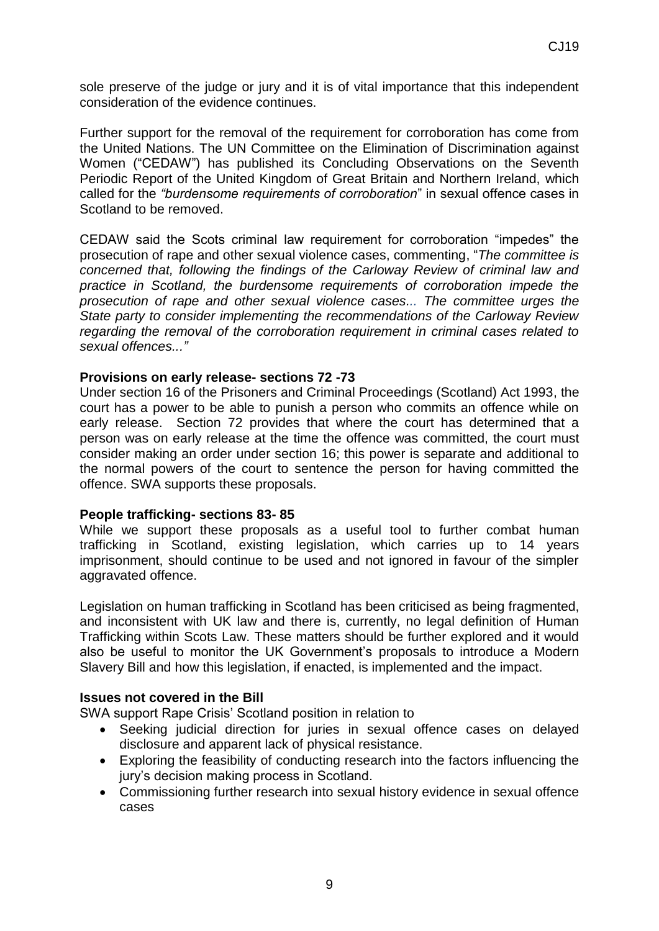sole preserve of the judge or jury and it is of vital importance that this independent consideration of the evidence continues.

Further support for the removal of the requirement for corroboration has come from the United Nations. The UN Committee on the Elimination of Discrimination against Women ("CEDAW") has published its Concluding Observations on the Seventh Periodic Report of the United Kingdom of Great Britain and Northern Ireland, which called for the *"burdensome requirements of corroboration*" in sexual offence cases in Scotland to be removed.

CEDAW said the Scots criminal law requirement for corroboration "impedes" the prosecution of rape and other sexual violence cases, commenting, "*The committee is concerned that, following the findings of the Carloway Review of criminal law and practice in Scotland, the burdensome requirements of corroboration impede the prosecution of rape and other sexual violence cases... The committee urges the State party to consider implementing the recommendations of the Carloway Review regarding the removal of the corroboration requirement in criminal cases related to sexual offences..."*

#### **Provisions on early release- sections 72 -73**

Under section 16 of the Prisoners and Criminal Proceedings (Scotland) Act 1993, the court has a power to be able to punish a person who commits an offence while on early release. Section 72 provides that where the court has determined that a person was on early release at the time the offence was committed, the court must consider making an order under section 16; this power is separate and additional to the normal powers of the court to sentence the person for having committed the offence. SWA supports these proposals.

#### **People trafficking- sections 83- 85**

While we support these proposals as a useful tool to further combat human trafficking in Scotland, existing legislation, which carries up to 14 years imprisonment, should continue to be used and not ignored in favour of the simpler aggravated offence.

Legislation on human trafficking in Scotland has been criticised as being fragmented, and inconsistent with UK law and there is, currently, no legal definition of Human Trafficking within Scots Law. These matters should be further explored and it would also be useful to monitor the UK Government's proposals to introduce a Modern Slavery Bill and how this legislation, if enacted, is implemented and the impact.

#### **Issues not covered in the Bill**

SWA support Rape Crisis' Scotland position in relation to

- Seeking judicial direction for juries in sexual offence cases on delayed disclosure and apparent lack of physical resistance.
- Exploring the feasibility of conducting research into the factors influencing the jury's decision making process in Scotland.
- Commissioning further research into sexual history evidence in sexual offence cases